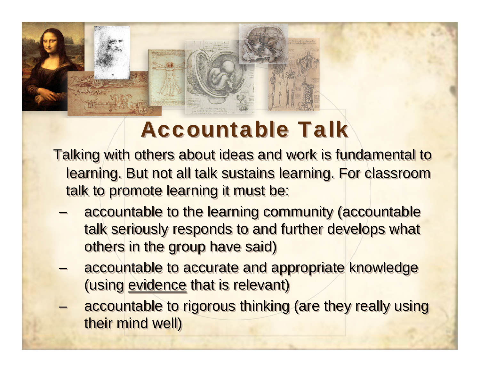

## **Accountable Talk**

Talking with others about ideas and work is fundamental to Talking with others about ideas and work is fundamental to learning. But not all talk sustains learning. For classroom learning. But not all talk sustains learning. For classroom talk to promote learning it must be: talk to promote learning it must be:

- accountable to the learning community (accountable talk seriously responds to and further develops what others in the group have said) others in the group have said) –
- accountable to accurate and appropriate knowledge accountable to accurate and appropriate knowledge (using evidence that is relevant) (using evidence that is relevant)
- accountable to rigorous thinking (are they really using accountable to rigorous thinking (are they really using their mind well) their mind well)–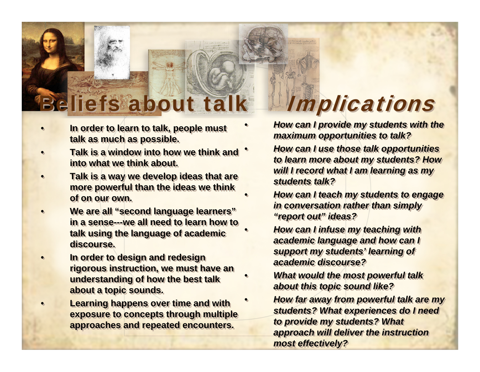# Beliefs about talk Implications

- •• **In order to learn to talk, people must In order to learn to talk, people must talk as much as possible. talk as much as possible.**
- • **Talk is a window into how we think and Talk is a window into how we think and into what we think about.** •••
- • **Talk is a way we develop ideas that are Talk is a way we develop ideas that are more powerful than the ideas we think more powerful than the ideas we think of on our own.of on our own.**•
- • **We are all "second language learners" We are all "second language learners" in a sense---we all need to learn how to in a sense---we all need to learn how to talk using the language of academic talk using the language of academic discourse.discourse.**•
- • **In order to design and redesign In order to design and redesign rigorous instruction, we must have an rigorous instruction, we must have an understanding of how the best talk understanding of how the best talk about a topic sounds. about a topic sounds.** •
- • **Learning happens over time and with Learning happens over time and with exposure to concepts through multiple exposure to concepts through multiple approaches and repeated encounters. approaches and repeated encounters.** •

 *How can I provide my students with the How can I provide my students with the maximum opportunities to talk? maximum opportunities to talk?*

•

•

•

•

•

•

•

•

•

•

- *How can I use those talk opportunities How can I use those talk opportunities to learn more about my students? How to learn more about my students? How will I record what I am learning as my will I record what I am learning as my students talk?students talk?*
- *How can I teach my students to engage How can I teach my students to engage in conversation rather than simply in conversation rather than simply "report out" ideas? "report out" ideas?*
- *How can I infuse my teaching with How can I infuse my teaching with academic language and how can I academic language and how can I support my students' learning of support my students' learning of academic discourse?academic discourse?*
- *What would the most powerful talk What would the most powerful talk about this topic sound like? about this topic sound like?*
- *How far away from powerful talk are my How far away from powerful talk are my students? What experiences do I need students? What experiences do I need to provide my students? What to provide my students? What approach will deliver the instruction approach will deliver the instruction most effectively? most effectively?*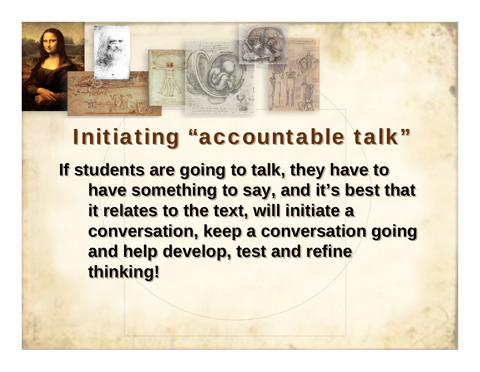

## Initiating "accountable talk"

**If students are going to talk, they have to If students are going to talk, they have to have something to say, and it's best that have something to say, and it's best that it relates to the text, will initiate a it relates to the text, will initiate a conversation, keep a conversation going conversation, keep a conversation going and help develop, test and refine and help develop, test and refine thinking! thinking!**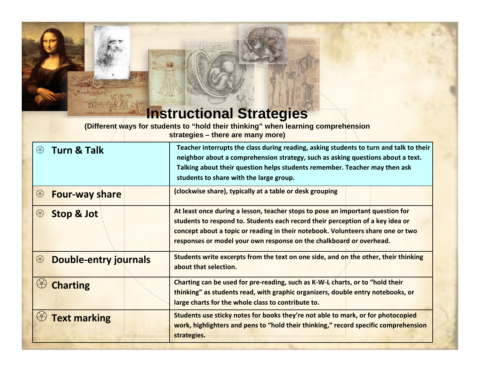#### **Instructional Strategies**

**(Different ways for students to "hold their thinking" when learning comprehension strategies – there are many more)**

| <b>Turn &amp; Talk</b><br>♧       | Teacher interrupts the class during reading, asking students to turn and talk to their<br>neighbor about a comprehension strategy, such as asking questions about a text.<br>Talking about their question helps students remember. Teacher may then ask<br>students to share with the large group.                         |
|-----------------------------------|----------------------------------------------------------------------------------------------------------------------------------------------------------------------------------------------------------------------------------------------------------------------------------------------------------------------------|
| €<br><b>Four-way share</b>        | (clockwise share), typically at a table or desk grouping                                                                                                                                                                                                                                                                   |
| 43<br><b>Stop &amp; Jot</b>       | At least once during a lesson, teacher stops to pose an important question for<br>students to respond to. Students each record their perception of a key idea or<br>concept about a topic or reading in their notebook. Volunteers share one or two<br>responses or model your own response on the chalkboard or overhead. |
| €<br><b>Double-entry journals</b> | Students write excerpts from the text on one side, and on the other, their thinking<br>about that selection.                                                                                                                                                                                                               |
| <b>Charting</b>                   | Charting can be used for pre-reading, such as K-W-L charts, or to "hold their<br>thinking" as students read, with graphic organizers, double entry notebooks, or<br>large charts for the whole class to contribute to.                                                                                                     |
| <b>Text marking</b>               | Students use sticky notes for books they're not able to mark, or for photocopied<br>work, highlighters and pens to "hold their thinking," record specific comprehension<br>strategies.                                                                                                                                     |